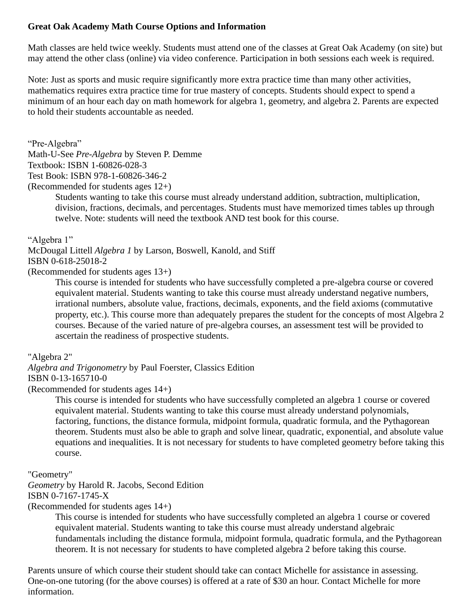## **Great Oak Academy Math Course Options and Information**

Math classes are held twice weekly. Students must attend one of the classes at Great Oak Academy (on site) but may attend the other class (online) via video conference. Participation in both sessions each week is required.

Note: Just as sports and music require significantly more extra practice time than many other activities, mathematics requires extra practice time for true mastery of concepts. Students should expect to spend a minimum of an hour each day on math homework for algebra 1, geometry, and algebra 2. Parents are expected to hold their students accountable as needed.

"Pre-Algebra"

Math-U-See *Pre-Algebra* by Steven P. Demme

Textbook: ISBN 1-60826-028-3

Test Book: ISBN 978-1-60826-346-2

(Recommended for students ages 12+)

Students wanting to take this course must already understand addition, subtraction, multiplication, division, fractions, decimals, and percentages. Students must have memorized times tables up through twelve. Note: students will need the textbook AND test book for this course.

"Algebra 1"

McDougal Littell *Algebra 1* by Larson, Boswell, Kanold, and Stiff ISBN 0-618-25018-2

(Recommended for students ages 13+)

This course is intended for students who have successfully completed a pre-algebra course or covered equivalent material. Students wanting to take this course must already understand negative numbers, irrational numbers, absolute value, fractions, decimals, exponents, and the field axioms (commutative property, etc.). This course more than adequately prepares the student for the concepts of most Algebra 2 courses. Because of the varied nature of pre-algebra courses, an assessment test will be provided to ascertain the readiness of prospective students.

"Algebra 2"

*Algebra and Trigonometry* by Paul Foerster, Classics Edition ISBN 0-13-165710-0

(Recommended for students ages 14+)

This course is intended for students who have successfully completed an algebra 1 course or covered equivalent material. Students wanting to take this course must already understand polynomials, factoring, functions, the distance formula, midpoint formula, quadratic formula, and the Pythagorean theorem. Students must also be able to graph and solve linear, quadratic, exponential, and absolute value equations and inequalities. It is not necessary for students to have completed geometry before taking this course.

"Geometry"

*Geometry* by Harold R. Jacobs, Second Edition ISBN 0-7167-1745-X

(Recommended for students ages 14+)

This course is intended for students who have successfully completed an algebra 1 course or covered equivalent material. Students wanting to take this course must already understand algebraic fundamentals including the distance formula, midpoint formula, quadratic formula, and the Pythagorean theorem. It is not necessary for students to have completed algebra 2 before taking this course.

Parents unsure of which course their student should take can contact Michelle for assistance in assessing. One-on-one tutoring (for the above courses) is offered at a rate of \$30 an hour. Contact Michelle for more information.